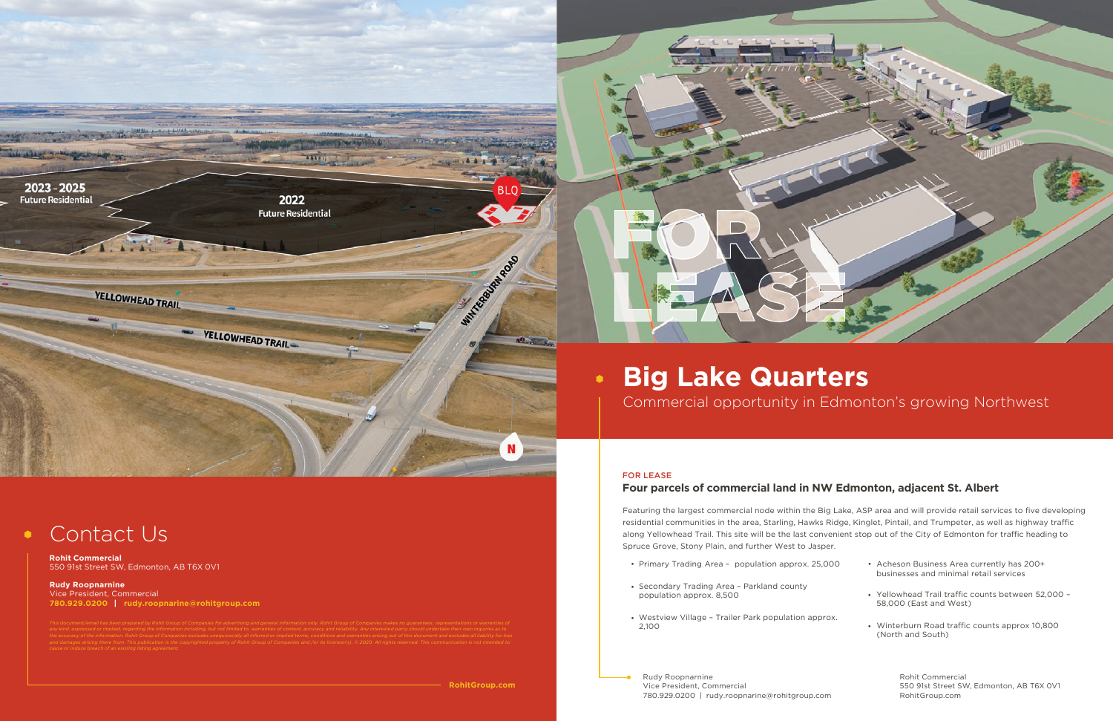# **Big Lake Quarters**  $\bullet$ Commercial opportunity in Edmonton's growing Northwest

#### FOR LEASE

## **Four parcels of commercial land in NW Edmonton, adjacent St. Albert**

Rudy Roopnarnine Vice President, Commercial 780.929.0200 | rudy.roopnarine@rohitgroup.com

RohitGroup.com

Featuring the largest commercial node within the Big Lake, ASP area and will provide retail services to five developing residential communities in the area, Starling, Hawks Ridge, Kinglet, Pintail, and Trumpeter, as well as highway traffic along Yellowhead Trail. This site will be the last convenient stop out of the City of Edmonton for traffic heading to Spruce Grove, Stony Plain, and further West to Jasper.

- 
- Secondary Trading Area Parkland county population approx. 8,500
- Westview Village Trailer Park population approx. 2,100



### Contact Us  $\bullet$

| • Primary Trading Area – population approx. 25,000   | • Acheson Business Area currently has 200+<br>businesses and minimal retail services |  |  |
|------------------------------------------------------|--------------------------------------------------------------------------------------|--|--|
| • Secondary Trading Area - Parkland county           | • Yellowhead Trail traffic counts between 52,000 -                                   |  |  |
| population approx. 8,500                             | 58,000 (East and West)                                                               |  |  |
| • Westview Village – Trailer Park population approx. | • Winterburn Road traffic counts approx 10,800                                       |  |  |
| 2.100                                                | (North and South)                                                                    |  |  |
| Rudy Roopnarnine                                     | Rohit Commercial                                                                     |  |  |
| Vice President, Commercial                           | 550 91st Street SW, Edmonton, AB T6X 0V1                                             |  |  |



**Rohit Commercial** 550 91st Street SW, Edmonton, AB T6X 0V1

**Rudy Roopnarnine** Vice President, Commercial **780.929.0200 | rudy.roopnarine@rohitgroup.com**

*the accuracy of the information. Rohit Group of Companies excludes unequivocally all inferred or implied terms, conditions and warranties arising out of this document and excludes all liability for loss*